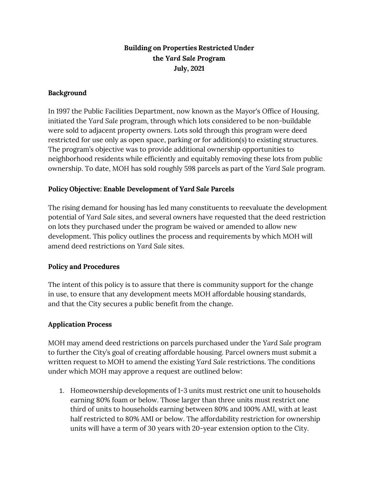## **Building on Properties Restricted Under the** *Yard Sale P***rogram July, 2021**

### **Background**

In 1997 the Public Facilities Department, now known as the Mayor's Office of Housing, initiated the *Yard Sale* program, through which lots considered to be non-buildable were sold to adjacent property owners. Lots sold through this program were deed restricted for use only as open space, parking or for addition(s) to existing structures. The program's objective was to provide additional ownership opportunities to neighborhood residents while efficiently and equitably removing these lots from public ownership. To date, MOH has sold roughly 598 parcels as part of the *Yard Sale* program.

#### **Policy Objective: Enable Development of** *Yard Sale* **Parcels**

The rising demand for housing has led many constituents to reevaluate the development potential of *Yard Sale* sites, and several owners have requested that the deed restriction on lots they purchased under the program be waived or amended to allow new development. This policy outlines the process and requirements by which MOH will amend deed restrictions on *Yard Sale* sites.

#### **Policy and Procedures**

The intent of this policy is to assure that there is community support for the change in use, to ensure that any development meets MOH affordable housing standards, and that the City secures a public benefit from the change.

#### **Application Process**

MOH may amend deed restrictions on parcels purchased under the *Yard Sale* program to further the City's goal of creating affordable housing. Parcel owners must submit a written request to MOH to amend the existing *Yard Sale* restrictions. The conditions under which MOH may approve a request are outlined below:

1. Homeownership developments of 1-3 units must restrict one unit to households earning 80% foam or below. Those larger than three units must restrict one third of units to households earning between 80% and 100% AMI, with at least half restricted to 80% AMI or below. The affordability restriction for ownership units will have a term of 30 years with 20-year extension option to the City.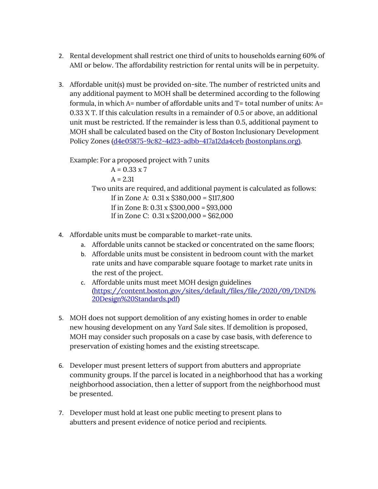- 2. Rental development shall restrict one third of units to households earning 60% of AMI or below. The affordability restriction for rental units will be in perpetuity.
- 3. Affordable unit(s) must be provided on-site. The number of restricted units and any additional payment to MOH shall be determined according to the following formula, in which A= number of affordable units and T= total number of units: A= 0.33 X T. If this calculation results in a remainder of 0.5 or above, an additional unit must be restricted. If the remainder is less than 0.5, additional payment to MOH shall be calculated based on the City of Boston Inclusionary Development Policy Zones [\(d4e05875-9c82-4d23-adbb-417a12da4ceb \(bostonplans.org\).](http://www.bostonplans.org/getattachment/d4e05875-9c82-4d23-adbb-417a12da4ceb)

Example: For a proposed project with 7 units

 $A = 0.33 \times 7$  $A = 2.31$ Two units are required, and additional payment is calculated as follows: If in Zone A: 0.31 x \$380,000 = \$117,800 If in Zone B: 0.31 x \$300,000 = \$93,000 If in Zone C:  $0.31 \times \frac{200,000}{6} = \frac{662,000}{60}$ 

- 4. Affordable units must be comparable to market-rate units.
	- a. Affordable units cannot be stacked or concentrated on the same floors;
	- b. Affordable units must be consistent in bedroom count with the market rate units and have comparable square footage to market rate units in the rest of the project.
	- c. Affordable units must meet MOH design guidelines [\(https://content.boston.gov/sites/default/files/file/2020/09/DND%](https://content.boston.gov/sites/default/files/file/2020/09/DND%20Design%20Standards.pdf) [20Design%20Standards.pdf\)](https://content.boston.gov/sites/default/files/file/2020/09/DND%20Design%20Standards.pdf)
- 5. MOH does not support demolition of any existing homes in order to enable new housing development on any *Yard Sale* sites. If demolition is proposed, MOH may consider such proposals on a case by case basis, with deference to preservation of existing homes and the existing streetscape.
- 6. Developer must present letters of support from abutters and appropriate community groups. If the parcel is located in a neighborhood that has a working neighborhood association, then a letter of support from the neighborhood must be presented.
- 7. Developer must hold at least one public meeting to present plans to abutters and present evidence of notice period and recipients.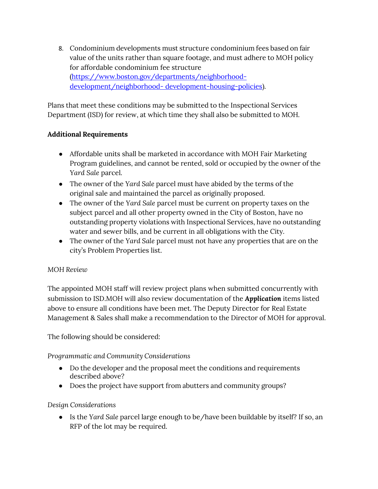8. Condominium developments must structure condominium fees based on fair value of the units rather than square footage, and must adhere to MOH policy for affordable condominium fee structure [\(https://www.boston.gov/departments/neighborhood](https://www.boston.gov/departments/neighborhood-development/neighborhood-development-housing-policies)[development/neighborhood- development-housing-policies\)](https://www.boston.gov/departments/neighborhood-development/neighborhood-development-housing-policies).

Plans that meet these conditions may be submitted to the Inspectional Services Department (ISD) for review, at which time they shall also be submitted to MOH.

## **Additional Requirements**

- Affordable units shall be marketed in accordance with MOH Fair Marketing Program guidelines, and cannot be rented, sold or occupied by the owner of the *Yard Sale* parcel.
- The owner of the *Yard Sale* parcel must have abided by the terms of the original sale and maintained the parcel as originally proposed.
- The owner of the *Yard Sale* parcel must be current on property taxes on the subject parcel and all other property owned in the City of Boston, have no outstanding property violations with Inspectional Services, have no outstanding water and sewer bills, and be current in all obligations with the City.
- The owner of the *Yard Sale* parcel must not have any properties that are on the city's Problem Properties list.

### *MOH Review*

The appointed MOH staff will review project plans when submitted concurrently with submission to ISD.MOH will also review documentation of the *Application* items listed above to ensure all conditions have been met. The Deputy Director for Real Estate Management & Sales shall make a recommendation to the Director of MOH for approval.

The following should be considered:

*Programmatic and Community Considerations*

- Do the developer and the proposal meet the conditions and requirements described above?
- Does the project have support from abutters and community groups?

# *Design Considerations*

● Is the *Yard Sale* parcel large enough to be/have been buildable by itself? If so, an RFP of the lot may be required.